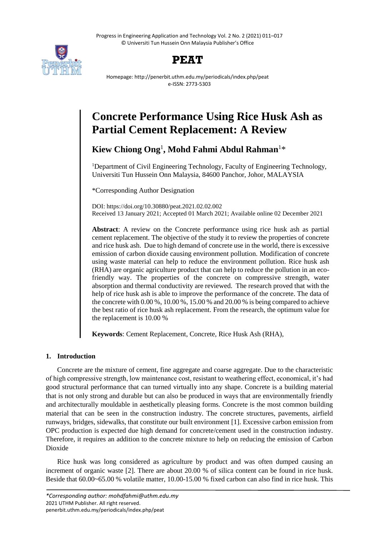Progress in Engineering Application and Technology Vol. 2 No. 2 (2021) 011–017 © Universiti Tun Hussein Onn Malaysia Publisher's Office





Homepage: http://penerbit.uthm.edu.my/periodicals/index.php/peat e-ISSN: 2773-5303

# **Concrete Performance Using Rice Husk Ash as Partial Cement Replacement: A Review**

**Kiew Chiong Ong**<sup>1</sup> **, Mohd Fahmi Abdul Rahman**<sup>1</sup>\*

<sup>1</sup>Department of Civil Engineering Technology, Faculty of Engineering Technology, Universiti Tun Hussein Onn Malaysia, 84600 Panchor, Johor, MALAYSIA

\*Corresponding Author Designation

DOI: https://doi.org/10.30880/peat.2021.02.02.002 Received 13 January 2021; Accepted 01 March 2021; Available online 02 December 2021

**Abstract**: A review on the Concrete performance using rice husk ash as partial cement replacement. The objective of the study it to review the properties of concrete and rice husk ash. Due to high demand of concrete use in the world, there is excessive emission of carbon dioxide causing environment pollution. Modification of concrete using waste material can help to reduce the environment pollution. Rice husk ash (RHA) are organic agriculture product that can help to reduce the pollution in an ecofriendly way. The properties of the concrete on compressive strength, water absorption and thermal conductivity are reviewed. The research proved that with the help of rice husk ash is able to improve the performance of the concrete. The data of the concrete with 0.00 %, 10.00 %, 15.00 % and 20.00 % is being compared to achieve the best ratio of rice husk ash replacement. From the research, the optimum value for the replacement is 10.00 %

**Keywords**: Cement Replacement, Concrete, Rice Husk Ash (RHA),

# **1. Introduction**

Concrete are the mixture of cement, fine aggregate and coarse aggregate. Due to the characteristic of high compressive strength, low maintenance cost, resistant to weathering effect, economical, it's had good structural performance that can turned virtually into any shape. Concrete is a building material that is not only strong and durable but can also be produced in ways that are environmentally friendly and architecturally mouldable in aesthetically pleasing forms. Concrete is the most common building material that can be seen in the construction industry. The concrete structures, pavements, airfield runways, bridges, sidewalks, that constitute our built environment [1]. Excessive carbon emission from OPC production is expected due high demand for concrete/cement used in the construction industry. Therefore, it requires an addition to the concrete mixture to help on reducing the emission of Carbon Dioxide

Rice husk was long considered as agriculture by product and was often dumped causing an increment of organic waste [2]. There are about 20.00 % of silica content can be found in rice husk. Beside that 60.00~65.00 % volatile matter, 10.00-15.00 % fixed carbon can also find in rice husk. This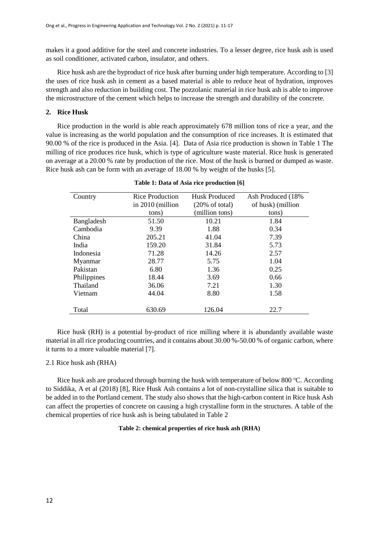makes it a good additive for the steel and concrete industries. To a lesser degree, rice husk ash is used as soil conditioner, activated carbon, insulator, and others.

Rice husk ash are the byproduct of rice husk after burning under high temperature. According to [3] the uses of rice husk ash in cement as a based material is able to reduce heat of hydration, improves strength and also reduction in building cost. The pozzolanic material in rice husk ash is able to improve the microstructure of the cement which helps to increase the strength and durability of the concrete.

## **2. Rice Husk**

Rice production in the world is able reach approximately 678 million tons of rice a year, and the value is increasing as the world population and the consumption of rice increases. It is estimated that 90.00 % of the rice is produced in the Asia. [4]. Data of Asia rice production is shown in Table 1 The milling of rice produces rice husk, which is type of agriculture waste material. Rice husk is generated on average at a 20.00 % rate by production of the rice. Most of the husk is burned or dumped as waste. Rice husk ash can be form with an average of 18.00 % by weight of the husks [5].

| Country     | <b>Rice Production</b> | <b>Husk Produced</b>      | Ash Produced (18%) |  |  |
|-------------|------------------------|---------------------------|--------------------|--|--|
|             | in 2010 (million       | $(20\% \text{ of total})$ | of husk) (million  |  |  |
|             | tons)                  | (million tons)            | tons)              |  |  |
| Bangladesh  | 51.50                  | 10.21                     | 1.84               |  |  |
| Cambodia    | 9.39                   | 1.88                      | 0.34               |  |  |
| China       | 205.21                 | 41.04                     | 7.39               |  |  |
| India       | 159.20                 | 31.84                     | 5.73               |  |  |
| Indonesia   | 71.28                  | 14.26                     | 2.57               |  |  |
| Myanmar     | 28.77                  | 5.75                      | 1.04               |  |  |
| Pakistan    | 6.80                   | 1.36                      | 0.25               |  |  |
| Philippines | 18.44                  | 3.69                      | 0.66               |  |  |
| Thailand    | 36.06                  | 7.21                      | 1.30               |  |  |
| Vietnam     | 44.04                  | 8.80                      | 1.58               |  |  |
|             |                        |                           |                    |  |  |
| Total       | 630.69                 | 126.04                    | 22.7               |  |  |

Rice husk (RH) is a potential by-product of rice milling where it is abundantly available waste material in all rice producing countries, and it contains about 30.00 %-50.00 % of organic carbon, where it turns to a more valuable material [7].

#### 2.1 Rice husk ash (RHA)

Rice husk ash are produced through burning the husk with temperature of below  $800^{\circ}$ C. According to Siddika, A et al (2018) [8], Rice Husk Ash contains a lot of non-crystalline silica that is suitable to be added in to the Portland cement. The study also shows that the high-carbon content in Rice husk Ash can affect the properties of concrete on causing a high crystalline form in the structures. A table of the chemical properties of rice husk ash is being tabulated in Table 2

#### **Table 2: chemical properties of rice husk ash (RHA)**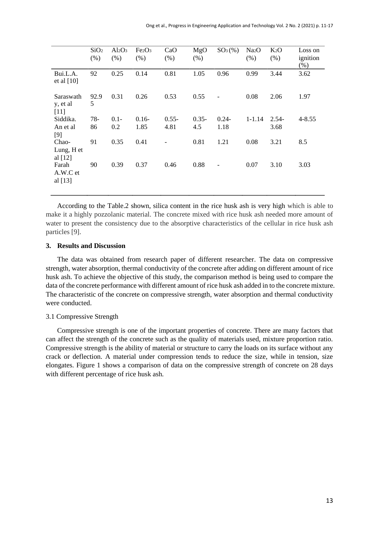|                                 | SiO <sub>2</sub><br>(% ) | $Al_2O_3$<br>(% ) | Fe <sub>2</sub> O <sub>3</sub><br>(% ) | CaO<br>(% )      | MgO<br>(% )     | $SO_3(\%)$                   | Na <sub>2</sub> O<br>(% ) | $K_2O$<br>(% )  | Loss on<br>ignition<br>(% ) |
|---------------------------------|--------------------------|-------------------|----------------------------------------|------------------|-----------------|------------------------------|---------------------------|-----------------|-----------------------------|
| Bui.L.A.<br>et al $[10]$        | 92                       | 0.25              | 0.14                                   | 0.81             | 1.05            | 0.96                         | 0.99                      | 3.44            | 3.62                        |
| Saraswath<br>y, et al<br>$[11]$ | 92.9<br>5                | 0.31              | 0.26                                   | 0.53             | 0.55            |                              | 0.08                      | 2.06            | 1.97                        |
| Siddika.<br>An et al<br>$[9]$   | $78-$<br>86              | $0.1 -$<br>0.2    | $0.16-$<br>1.85                        | $0.55 -$<br>4.81 | $0.35 -$<br>4.5 | $0.24 -$<br>1.18             | $1 - 1.14$                | $2.54-$<br>3.68 | $4 - 8.55$                  |
| Chao-<br>Lung, H et<br>al [12]  | 91                       | 0.35              | 0.41                                   |                  | 0.81            | 1.21                         | 0.08                      | 3.21            | 8.5                         |
| Farah<br>A.W.C et<br>al $[13]$  | 90                       | 0.39              | 0.37                                   | 0.46             | 0.88            | $\qquad \qquad \blacksquare$ | 0.07                      | 3.10            | 3.03                        |

According to the Table.2 shown, silica content in the rice husk ash is very high which is able to make it a highly pozzolanic material. The concrete mixed with rice husk ash needed more amount of water to present the consistency due to the absorptive characteristics of the cellular in rice husk ash particles [9].

#### **3. Results and Discussion**

The data was obtained from research paper of different researcher. The data on compressive strength, water absorption, thermal conductivity of the concrete after adding on different amount of rice husk ash. To achieve the objective of this study, the comparison method is being used to compare the data of the concrete performance with different amount of rice husk ash added in to the concrete mixture. The characteristic of the concrete on compressive strength, water absorption and thermal conductivity were conducted.

#### 3.1 Compressive Strength

Compressive strength is one of the important properties of concrete. There are many factors that can affect the strength of the concrete such as the quality of materials used, mixture proportion ratio. Compressive strength is the ability of material or structure to carry the loads on its surface without any crack or deflection. A material under compression tends to reduce the size, while in tension, size elongates. Figure 1 shows a comparison of data on the compressive strength of concrete on 28 days with different percentage of rice husk ash.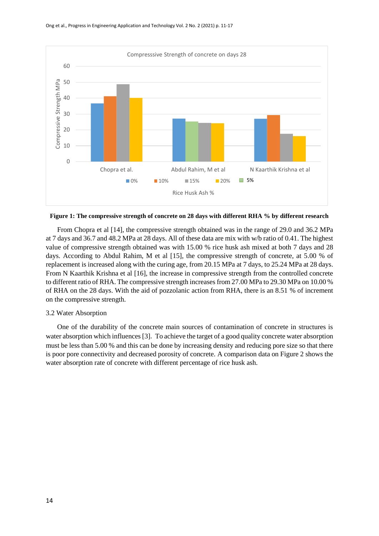

**Figure 1: The compressive strength of concrete on 28 days with different RHA % by different research**

From Chopra et al [14], the compressive strength obtained was in the range of 29.0 and 36.2 MPa at 7 days and 36.7 and 48.2 MPa at 28 days. All of these data are mix with w/b ratio of 0.41. The highest value of compressive strength obtained was with 15.00 % rice husk ash mixed at both 7 days and 28 days. According to Abdul Rahim, M et al [15], the compressive strength of concrete, at 5.00 % of replacement is increased along with the curing age, from 20.15 MPa at 7 days, to 25.24 MPa at 28 days. From N Kaarthik Krishna et al [16], the increase in compressive strength from the controlled concrete to different ratio of RHA. The compressive strength increases from 27.00 MPa to 29.30 MPa on 10.00 % of RHA on the 28 days. With the aid of pozzolanic action from RHA, there is an 8.51 % of increment on the compressive strength.

#### 3.2 Water Absorption

One of the durability of the concrete main sources of contamination of concrete in structures is water absorption which influences [3]. To achieve the target of a good quality concrete water absorption must be less than 5.00 % and this can be done by increasing density and reducing pore size so that there is poor pore connectivity and decreased porosity of concrete. A comparison data on Figure 2 shows the water absorption rate of concrete with different percentage of rice husk ash.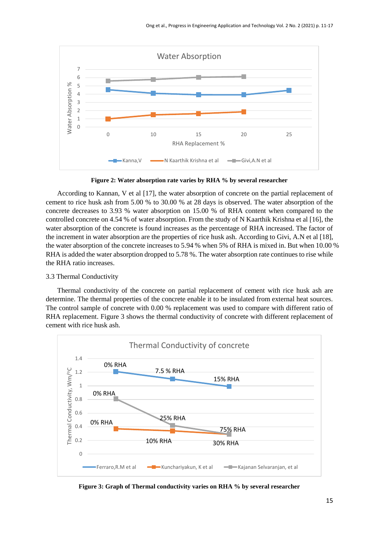

**Figure 2: Water absorption rate varies by RHA % by several researcher**

According to Kannan, V et al [17], the water absorption of concrete on the partial replacement of cement to rice husk ash from 5.00 % to 30.00 % at 28 days is observed. The water absorption of the concrete decreases to 3.93 % water absorption on 15.00 % of RHA content when compared to the controlled concrete on 4.54 % of water absorption. From the study of N Kaarthik Krishna et al [16], the water absorption of the concrete is found increases as the percentage of RHA increased. The factor of the increment in water absorption are the properties of rice husk ash. According to Givi, A.N et al [18], the water absorption of the concrete increases to 5.94 % when 5% of RHA is mixed in. But when 10.00 % RHA is added the water absorption dropped to 5.78 %. The water absorption rate continues to rise while the RHA ratio increases.

#### 3.3 Thermal Conductivity

Thermal conductivity of the concrete on partial replacement of cement with rice husk ash are determine. The thermal properties of the concrete enable it to be insulated from external heat sources. The control sample of concrete with 0.00 % replacement was used to compare with different ratio of RHA replacement. Figure 3 shows the thermal conductivity of concrete with different replacement of cement with rice husk ash.



**Figure 3: Graph of Thermal conductivity varies on RHA % by several researcher**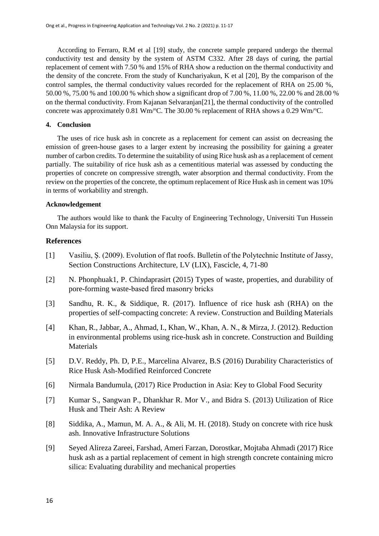According to Ferraro, R.M et al [19] study, the concrete sample prepared undergo the thermal conductivity test and density by the system of ASTM C332. After 28 days of curing, the partial replacement of cement with 7.50 % and 15% of RHA show a reduction on the thermal conductivity and the density of the concrete. From the study of Kunchariyakun, K et al [20], By the comparison of the control samples, the thermal conductivity values recorded for the replacement of RHA on 25.00 %, 50.00 %, 75.00 % and 100.00 % which show a significant drop of 7.00 %, 11.00 %, 22.00 % and 28.00 % on the thermal conductivity. From Kajanan Selvaranjan[21], the thermal conductivity of the controlled concrete was approximately 0.81 Wm/ $\degree$ C. The 30.00 % replacement of RHA shows a 0.29 Wm/ $\degree$ C.

# **4. Conclusion**

The uses of rice husk ash in concrete as a replacement for cement can assist on decreasing the emission of green-house gases to a larger extent by increasing the possibility for gaining a greater number of carbon credits. To determine the suitability of using Rice husk ash as a replacement of cement partially. The suitability of rice husk ash as a cementitious material was assessed by conducting the properties of concrete on compressive strength, water absorption and thermal conductivity. From the review on the properties of the concrete, the optimum replacement of Rice Husk ash in cement was 10% in terms of workability and strength.

### **Acknowledgement**

The authors would like to thank the Faculty of Engineering Technology, Universiti Tun Hussein Onn Malaysia for its support.

# **References**

- [1] Vasiliu, Ş. (2009). Evolution of flat roofs. Bulletin of the Polytechnic Institute of Jassy, Section Constructions Architecture, LV (LIX), Fascicle, 4, 71-80
- [2] N. Phonphuak1, P. Chindaprasirt (2015) Types of waste, properties, and durability of pore-forming waste-based fired masonry bricks
- [3] Sandhu, R. K., & Siddique, R. (2017). Influence of rice husk ash (RHA) on the properties of self-compacting concrete: A review. Construction and Building Materials
- [4] Khan, R., Jabbar, A., Ahmad, I., Khan, W., Khan, A. N., & Mirza, J. (2012). Reduction in environmental problems using rice-husk ash in concrete. Construction and Building Materials
- [5] D.V. Reddy, Ph. D, P.E., Marcelina Alvarez, B.S (2016) Durability Characteristics of Rice Husk Ash-Modified Reinforced Concrete
- [6] Nirmala Bandumula, (2017) Rice Production in Asia: Key to Global Food Security
- [7] Kumar S., Sangwan P., Dhankhar R. Mor V., and Bidra S. (2013) Utilization of Rice Husk and Their Ash: A Review
- [8] Siddika, A., Mamun, M. A. A., & Ali, M. H. (2018). Study on concrete with rice husk ash. Innovative Infrastructure Solutions
- [9] Seyed Alireza Zareei, Farshad, Ameri Farzan, Dorostkar, Mojtaba Ahmadi (2017) Rice husk ash as a partial replacement of cement in high strength concrete containing micro silica: Evaluating durability and mechanical properties